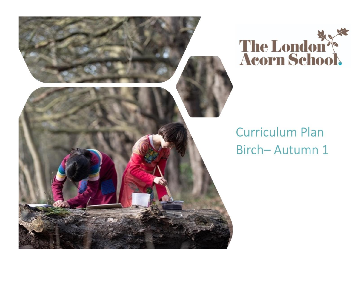



## **Curriculum Plan** Birch-Autumn 1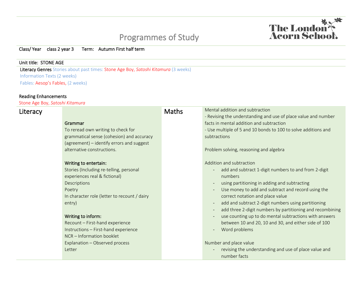## Programmes of Study

The London



## Unit title: STONE AGE

Literacy Genres Stories about past times: Stone Age Boy, *Satoshi Kitamura* (3 weeks) Information Texts (2 weeks) Fables: Aesop's Fables, (2 weeks)

## Reading Enhancements

Stone Age Boy, *Satoshi Kitamura*

| - Revising the understanding and use of place value and number<br>facts in mental addition and subtraction<br>Grammar<br>- Use multiple of 5 and 10 bonds to 100 to solve additions and<br>To reread own writing to check for<br>grammatical sense (cohesion) and accuracy<br>subtractions<br>(agreement) - identify errors and suggest<br>alternative constructions.<br>Problem solving, reasoning and algebra<br>Addition and subtraction<br>Writing to entertain:<br>Stories (Including re-telling, personal<br>add and subtract 1-digit numbers to and from 2-digit<br>experiences real & fictional)<br>numbers<br>Descriptions<br>using partitioning in adding and subtracting<br>Use money to add and subtract and record using the<br>Poetry<br>In character role (letter to recount / dairy<br>correct notation and place value<br>add and subtract 2-digit numbers using partitioning<br>entry)<br>$\sim$<br>add three 2-digit numbers by partitioning and recombining<br>Writing to inform:<br>use counting up to do mental subtractions with answers<br>Recount - First-hand experience<br>between 10 and 20, 10 and 30, and either side of 100<br>Instructions - First-hand experience<br>Word problems<br>NCR - Information booklet<br>Number and place value<br>Explanation - Observed process<br>revising the understanding and use of place value and<br>Letter<br>number facts | Literacy | <b>Maths</b> | Mental addition and subtraction |
|-------------------------------------------------------------------------------------------------------------------------------------------------------------------------------------------------------------------------------------------------------------------------------------------------------------------------------------------------------------------------------------------------------------------------------------------------------------------------------------------------------------------------------------------------------------------------------------------------------------------------------------------------------------------------------------------------------------------------------------------------------------------------------------------------------------------------------------------------------------------------------------------------------------------------------------------------------------------------------------------------------------------------------------------------------------------------------------------------------------------------------------------------------------------------------------------------------------------------------------------------------------------------------------------------------------------------------------------------------------------------------------------------|----------|--------------|---------------------------------|
|                                                                                                                                                                                                                                                                                                                                                                                                                                                                                                                                                                                                                                                                                                                                                                                                                                                                                                                                                                                                                                                                                                                                                                                                                                                                                                                                                                                                 |          |              |                                 |
|                                                                                                                                                                                                                                                                                                                                                                                                                                                                                                                                                                                                                                                                                                                                                                                                                                                                                                                                                                                                                                                                                                                                                                                                                                                                                                                                                                                                 |          |              |                                 |
|                                                                                                                                                                                                                                                                                                                                                                                                                                                                                                                                                                                                                                                                                                                                                                                                                                                                                                                                                                                                                                                                                                                                                                                                                                                                                                                                                                                                 |          |              |                                 |
|                                                                                                                                                                                                                                                                                                                                                                                                                                                                                                                                                                                                                                                                                                                                                                                                                                                                                                                                                                                                                                                                                                                                                                                                                                                                                                                                                                                                 |          |              |                                 |
|                                                                                                                                                                                                                                                                                                                                                                                                                                                                                                                                                                                                                                                                                                                                                                                                                                                                                                                                                                                                                                                                                                                                                                                                                                                                                                                                                                                                 |          |              |                                 |
|                                                                                                                                                                                                                                                                                                                                                                                                                                                                                                                                                                                                                                                                                                                                                                                                                                                                                                                                                                                                                                                                                                                                                                                                                                                                                                                                                                                                 |          |              |                                 |
|                                                                                                                                                                                                                                                                                                                                                                                                                                                                                                                                                                                                                                                                                                                                                                                                                                                                                                                                                                                                                                                                                                                                                                                                                                                                                                                                                                                                 |          |              |                                 |
|                                                                                                                                                                                                                                                                                                                                                                                                                                                                                                                                                                                                                                                                                                                                                                                                                                                                                                                                                                                                                                                                                                                                                                                                                                                                                                                                                                                                 |          |              |                                 |
|                                                                                                                                                                                                                                                                                                                                                                                                                                                                                                                                                                                                                                                                                                                                                                                                                                                                                                                                                                                                                                                                                                                                                                                                                                                                                                                                                                                                 |          |              |                                 |
|                                                                                                                                                                                                                                                                                                                                                                                                                                                                                                                                                                                                                                                                                                                                                                                                                                                                                                                                                                                                                                                                                                                                                                                                                                                                                                                                                                                                 |          |              |                                 |
|                                                                                                                                                                                                                                                                                                                                                                                                                                                                                                                                                                                                                                                                                                                                                                                                                                                                                                                                                                                                                                                                                                                                                                                                                                                                                                                                                                                                 |          |              |                                 |
|                                                                                                                                                                                                                                                                                                                                                                                                                                                                                                                                                                                                                                                                                                                                                                                                                                                                                                                                                                                                                                                                                                                                                                                                                                                                                                                                                                                                 |          |              |                                 |
|                                                                                                                                                                                                                                                                                                                                                                                                                                                                                                                                                                                                                                                                                                                                                                                                                                                                                                                                                                                                                                                                                                                                                                                                                                                                                                                                                                                                 |          |              |                                 |
|                                                                                                                                                                                                                                                                                                                                                                                                                                                                                                                                                                                                                                                                                                                                                                                                                                                                                                                                                                                                                                                                                                                                                                                                                                                                                                                                                                                                 |          |              |                                 |
|                                                                                                                                                                                                                                                                                                                                                                                                                                                                                                                                                                                                                                                                                                                                                                                                                                                                                                                                                                                                                                                                                                                                                                                                                                                                                                                                                                                                 |          |              |                                 |
|                                                                                                                                                                                                                                                                                                                                                                                                                                                                                                                                                                                                                                                                                                                                                                                                                                                                                                                                                                                                                                                                                                                                                                                                                                                                                                                                                                                                 |          |              |                                 |
|                                                                                                                                                                                                                                                                                                                                                                                                                                                                                                                                                                                                                                                                                                                                                                                                                                                                                                                                                                                                                                                                                                                                                                                                                                                                                                                                                                                                 |          |              |                                 |
|                                                                                                                                                                                                                                                                                                                                                                                                                                                                                                                                                                                                                                                                                                                                                                                                                                                                                                                                                                                                                                                                                                                                                                                                                                                                                                                                                                                                 |          |              |                                 |
|                                                                                                                                                                                                                                                                                                                                                                                                                                                                                                                                                                                                                                                                                                                                                                                                                                                                                                                                                                                                                                                                                                                                                                                                                                                                                                                                                                                                 |          |              |                                 |
|                                                                                                                                                                                                                                                                                                                                                                                                                                                                                                                                                                                                                                                                                                                                                                                                                                                                                                                                                                                                                                                                                                                                                                                                                                                                                                                                                                                                 |          |              |                                 |
|                                                                                                                                                                                                                                                                                                                                                                                                                                                                                                                                                                                                                                                                                                                                                                                                                                                                                                                                                                                                                                                                                                                                                                                                                                                                                                                                                                                                 |          |              |                                 |
|                                                                                                                                                                                                                                                                                                                                                                                                                                                                                                                                                                                                                                                                                                                                                                                                                                                                                                                                                                                                                                                                                                                                                                                                                                                                                                                                                                                                 |          |              |                                 |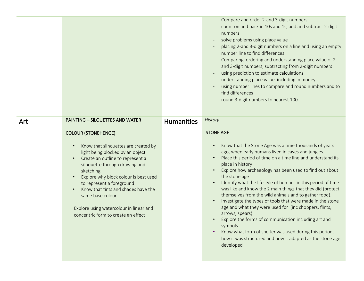|     |                                                                                                                                                                                                                                                                                                                                                                                                                                                        |                   | Compare and order 2-and 3-digit numbers<br>count on and back in 10s and 1s; add and subtract 2-digit<br>numbers<br>solve problems using place value<br>placing 2-and 3-digit numbers on a line and using an empty<br>number line to find differences<br>Comparing, ordering and understanding place value of 2-<br>and 3-digit numbers; subtracting from 2-digit numbers<br>using prediction to estimate calculations<br>understanding place value, including in money<br>using number lines to compare and round numbers and to<br>find differences<br>round 3-digit numbers to nearest 100                                                                                                                                                                                                                                                                                 |
|-----|--------------------------------------------------------------------------------------------------------------------------------------------------------------------------------------------------------------------------------------------------------------------------------------------------------------------------------------------------------------------------------------------------------------------------------------------------------|-------------------|------------------------------------------------------------------------------------------------------------------------------------------------------------------------------------------------------------------------------------------------------------------------------------------------------------------------------------------------------------------------------------------------------------------------------------------------------------------------------------------------------------------------------------------------------------------------------------------------------------------------------------------------------------------------------------------------------------------------------------------------------------------------------------------------------------------------------------------------------------------------------|
| Art | <b>PAINTING - SILOUETTES AND WATER</b><br><b>COLOUR (STONEHENGE)</b><br>Know that silhouettes are created by<br>light being blocked by an object<br>Create an outline to represent a<br>silhouette through drawing and<br>sketching<br>Explore why block colour is best used<br>to represent a foreground<br>Know that tints and shades have the<br>same base colour<br>Explore using watercolour in linear and<br>concentric form to create an effect | <b>Humanities</b> | History<br><b>STONE AGE</b><br>Know that the Stone Age was a time thousands of years<br>$\bullet$<br>ago, when early humans lived in caves and jungles.<br>Place this period of time on a time line and understand its<br>place in history<br>Explore how archaeology has been used to find out about<br>the stone age<br>Identify what the lifestyle of humans in this period of time<br>was like and know the 2 main things that they did (protect<br>themselves from the wild animals and to gather food).<br>Investigate the types of tools that were made in the stone<br>$\bullet$<br>age and what they were used for (inc choppers, flints,<br>arrows, spears)<br>Explore the forms of communication including art and<br>symbols<br>Know what form of shelter was used during this period,<br>how it was structured and how it adapted as the stone age<br>developed |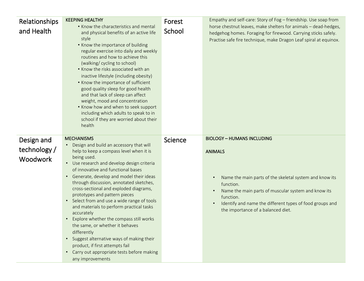| Relationships<br>and Health                   | <b>KEEPING HEALTHY</b><br>• Know the characteristics and mental<br>and physical benefits of an active life<br>style<br>• Know the importance of building<br>regular exercise into daily and weekly<br>routines and how to achieve this<br>(walking/ cycling to school)<br>• Know the risks associated with an<br>inactive lifestyle (including obesity)<br>• Know the importance of sufficient<br>good quality sleep for good health<br>and that lack of sleep can affect<br>weight, mood and concentration<br>. Know how and when to seek support<br>including which adults to speak to in<br>school if they are worried about their<br>health                                                                                                                                   | Forest<br>School | Empathy and self-care: Story of Fog - friendship. Use soap from<br>horse chestnut leaves, make shelters for animals - dead-hedges,<br>hedgehog homes. Foraging for firewood. Carrying sticks safely.<br>Practise safe fire technique, make Dragon Leaf spiral at equinox.                         |
|-----------------------------------------------|-----------------------------------------------------------------------------------------------------------------------------------------------------------------------------------------------------------------------------------------------------------------------------------------------------------------------------------------------------------------------------------------------------------------------------------------------------------------------------------------------------------------------------------------------------------------------------------------------------------------------------------------------------------------------------------------------------------------------------------------------------------------------------------|------------------|---------------------------------------------------------------------------------------------------------------------------------------------------------------------------------------------------------------------------------------------------------------------------------------------------|
| Design and<br>technology /<br><b>Woodwork</b> | <b>MECHANISMS</b><br>Design and build an accessory that will<br>help to keep a compass level when it is<br>being used.<br>Use research and develop design criteria<br>$\bullet$<br>of innovative and functional bases<br>Generate, develop and model their ideas<br>$\bullet$<br>through discussion, annotated sketches,<br>cross-sectional and exploded diagrams,<br>prototypes and pattern pieces<br>Select from and use a wide range of tools<br>$\bullet$<br>and materials to perform practical tasks<br>accurately<br>Explore whether the compass still works<br>$\bullet$<br>the same, or whether it behaves<br>differently<br>Suggest alternative ways of making their<br>product, if first attempts fail<br>Carry out appropriate tests before making<br>any improvements | <b>Science</b>   | <b>BIOLOGY - HUMANS INCLUDING</b><br><b>ANIMALS</b><br>Name the main parts of the skeletal system and know its<br>function.<br>Name the main parts of muscular system and know its<br>function.<br>Identify and name the different types of food groups and<br>the importance of a balanced diet. |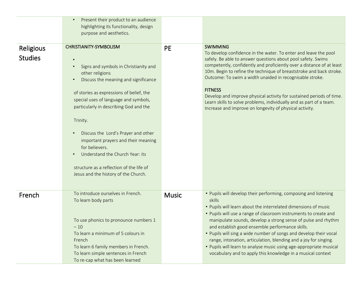|                             | Present their product to an audience<br>$\bullet$<br>highlighting its functionality, design<br>purpose and aesthetics.                                                                                                                                                                                                                                                                                                                                                                                                                                  |              |                                                                                                                                                                                                                                                                                                                                                                                                                                                                                                                                                                                                                   |
|-----------------------------|---------------------------------------------------------------------------------------------------------------------------------------------------------------------------------------------------------------------------------------------------------------------------------------------------------------------------------------------------------------------------------------------------------------------------------------------------------------------------------------------------------------------------------------------------------|--------------|-------------------------------------------------------------------------------------------------------------------------------------------------------------------------------------------------------------------------------------------------------------------------------------------------------------------------------------------------------------------------------------------------------------------------------------------------------------------------------------------------------------------------------------------------------------------------------------------------------------------|
| Religious<br><b>Studies</b> | <b>CHRISTIANITY-SYMBOLISM</b><br>Signs and symbols in Christianity and<br>$\bullet$<br>other religions<br>Discuss the meaning and significance<br>$\bullet$<br>of stories as expressions of belief, the<br>special uses of language and symbols,<br>particularly in describing God and the<br>Trinity.<br>Discuss the Lord's Prayer and other<br>$\bullet$<br>important prayers and their meaning<br>for believers.<br>Understand the Church Year: its<br>$\bullet$<br>structure as a reflection of the life of<br>Jesus and the history of the Church. | <b>PE</b>    | <b>SWIMMING</b><br>To develop confidence in the water. To enter and leave the pool<br>safely. Be able to answer questions about pool safety. Swims<br>competently, confidently and proficiently over a distance of at least<br>10m. Begin to refine the technique of breaststroke and back stroke.<br>Outcome: To swim a width unaided in recognisable stroke.<br><b>FITNESS</b><br>Develop and improve physical activity for sustained periods of time.<br>Learn skills to solve problems, individually and as part of a team.<br>Increase and improve on longevity of physical activity.                        |
| French                      | To introduce ourselves in French.<br>To learn body parts<br>To use phonics to pronounce numbers 1<br>$-10$<br>To learn a minimum of 5 colours in<br>French<br>To learn 6 family members in French.<br>To learn simple sentences in French<br>To re-cap what has been learned                                                                                                                                                                                                                                                                            | <b>Music</b> | • Pupils will develop their performing, composing and listening<br>skills<br>. Pupils will learn about the interrelated dimensions of music<br>• Pupils will use a range of classroom instruments to create and<br>manipulate sounds, develop a strong sense of pulse and rhythm<br>and establish good ensemble performance skills.<br>• Pupils will sing a wide number of songs and develop their vocal<br>range, intonation, articulation, blending and a joy for singing.<br>• Pupils will learn to analyse music using age-appropriate musical<br>vocabulary and to apply this knowledge in a musical context |